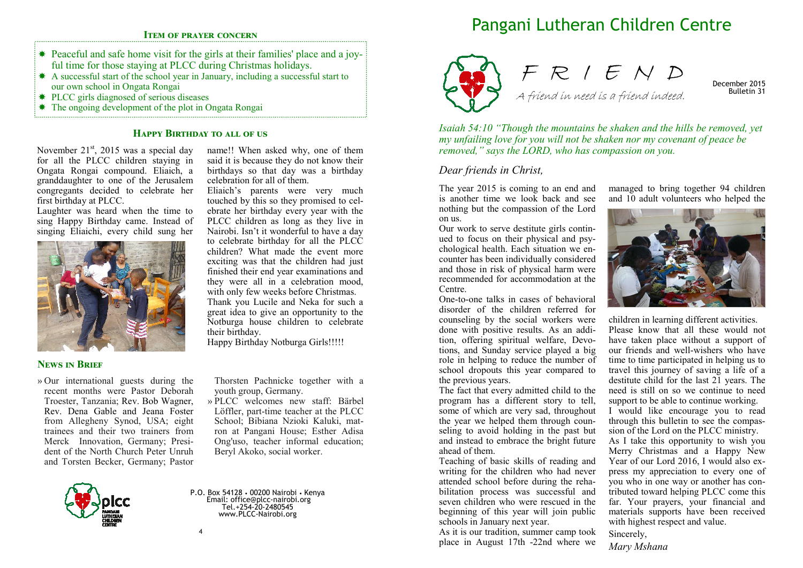### **ITEM OF PRAYER CONCERN**

- Peaceful and safe home visit for the girls at their families' place and a joyful time for those staying at PLCC during Christmas holidays.
- \* A successful start of the school year in January, including a successful start to our own school in Ongata Rongai
- PLCC girls diagnosed of serious diseases
- The ongoing development of the plot in Ongata Rongai

# **HAPPY BIRTHDAY TO ALL OF US**

November  $21<sup>st</sup>$ , 2015 was a special day for all the PLCC children staying in Ongata Rongai compound. Eliaich, a granddaughter to one of the Jerusalem congregants decided to celebrate her first birthday at PLCC.

Laughter was heard when the time to sing Happy Birthday came. Instead of singing Eliaichi, every child sung her



#### **NEWS IN BRIEF**

» Our international guests during the recent months were Pastor Deborah Troester, Tanzania; Rev. Bob Wagner, Rev. Dena Gable and Jeana Foster from Allegheny Synod, USA; eight trainees and their two trainers from Merck Innovation, Germany; President of the North Church Peter Unruh and Torsten Becker, Germany; Pastor

name!! When asked why, one of them said it is because they do not know their birthdays so that day was a birthday celebration for all of them.

Eliaich's parents were very much touched by this so they promised to celebrate her birthday every year with the PLCC children as long as they live in Nairobi. Isn't it wonderful to have a day to celebrate birthday for all the PLCC children? What made the event more exciting was that the children had just finished their end year examinations and they were all in a celebration mood, with only few weeks before Christmas. Thank you Lucile and Neka for such a great idea to give an opportunity to the Notburga house children to celebrate their birthday.

Happy Birthday Notburga Girls!!!!!

Thorsten Pachnicke together with a youth group, Germany.

» PLCC welcomes new staff: Bärbel Löffler, part-time teacher at the PLCC School; Bibiana Nzioki Kaluki, matron at Pangani House; Esther Adisa Ong'uso, teacher informal education; Beryl Akoko, social worker.

P.O. Box 54128 • 00200 Nairobi • Kenya Email: office@plcc-nairobi.org Tel.+254-20-2480545 www.PLCC-Nairobi.org

# Pangani Lutheran Children Centre





December 2015 Bulletin 31

*Isaiah 54:10 "Though the mountains be shaken and the hills be removed, yet my unfailing love for you will not be shaken nor my covenant of peace be removed," says the LORD, who has compassion on you.*

### *Dear friends in Christ,*

The year 2015 is coming to an end and is another time we look back and see nothing but the compassion of the Lord on us.

Our work to serve destitute girls continued to focus on their physical and psychological health. Each situation we encounter has been individually considered and those in risk of physical harm were recommended for accommodation at the Centre.

One-to-one talks in cases of behavioral disorder of the children referred for counseling by the social workers were done with positive results. As an addition, offering spiritual welfare, Devotions, and Sunday service played a big role in helping to reduce the number of school dropouts this year compared to the previous years.

The fact that every admitted child to the program has a different story to tell, some of which are very sad, throughout the year we helped them through counseling to avoid holding in the past but and instead to embrace the bright future ahead of them.

Teaching of basic skills of reading and writing for the children who had never attended school before during the rehabilitation process was successful and seven children who were rescued in the beginning of this year will join public schools in January next year.

As it is our tradition, summer camp took place in August 17th -22nd where we

managed to bring together 94 children and 10 adult volunteers who helped the



children in learning different activities. Please know that all these would not have taken place without a support of our friends and well-wishers who have time to time participated in helping us to travel this journey of saving a life of a destitute child for the last 21 years. The need is still on so we continue to need support to be able to continue working.

I would like encourage you to read through this bulletin to see the compassion of the Lord on the PLCC ministry.

As I take this opportunity to wish you Merry Christmas and a Happy New Year of our Lord 2016, I would also express my appreciation to every one of you who in one way or another has contributed toward helping PLCC come this far. Your prayers, your financial and materials supports have been received with highest respect and value.

Sincerely,

*Mary Mshana*